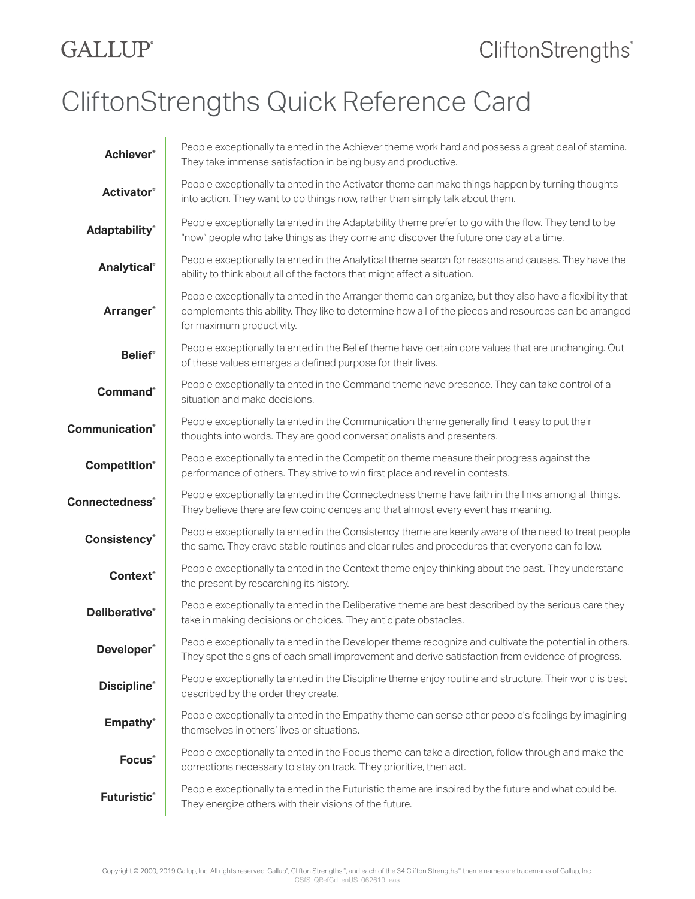## **GALLUP**®

## CliftonStrengths Quick Reference Card

| <b>Achiever®</b>       | People exceptionally talented in the Achiever theme work hard and possess a great deal of stamina.<br>They take immense satisfaction in being busy and productive.                                                                           |
|------------------------|----------------------------------------------------------------------------------------------------------------------------------------------------------------------------------------------------------------------------------------------|
| <b>Activator®</b>      | People exceptionally talented in the Activator theme can make things happen by turning thoughts<br>into action. They want to do things now, rather than simply talk about them.                                                              |
| <b>Adaptability®</b>   | People exceptionally talented in the Adaptability theme prefer to go with the flow. They tend to be<br>"now" people who take things as they come and discover the future one day at a time.                                                  |
| Analytical®            | People exceptionally talented in the Analytical theme search for reasons and causes. They have the<br>ability to think about all of the factors that might affect a situation.                                                               |
| <b>Arranger®</b>       | People exceptionally talented in the Arranger theme can organize, but they also have a flexibility that<br>complements this ability. They like to determine how all of the pieces and resources can be arranged<br>for maximum productivity. |
| <b>Belief®</b>         | People exceptionally talented in the Belief theme have certain core values that are unchanging. Out<br>of these values emerges a defined purpose for their lives.                                                                            |
| <b>Command</b> ®       | People exceptionally talented in the Command theme have presence. They can take control of a<br>situation and make decisions.                                                                                                                |
| <b>Communication</b> ® | People exceptionally talented in the Communication theme generally find it easy to put their<br>thoughts into words. They are good conversationalists and presenters.                                                                        |
| <b>Competition®</b>    | People exceptionally talented in the Competition theme measure their progress against the<br>performance of others. They strive to win first place and revel in contests.                                                                    |
| <b>Connectedness</b> ® | People exceptionally talented in the Connectedness theme have faith in the links among all things.<br>They believe there are few coincidences and that almost every event has meaning.                                                       |
| <b>Consistency®</b>    | People exceptionally talented in the Consistency theme are keenly aware of the need to treat people<br>the same. They crave stable routines and clear rules and procedures that everyone can follow.                                         |
| <b>Context</b> ®       | People exceptionally talented in the Context theme enjoy thinking about the past. They understand<br>the present by researching its history.                                                                                                 |
| <b>Deliberative®</b>   | People exceptionally talented in the Deliberative theme are best described by the serious care they<br>take in making decisions or choices. They anticipate obstacles.                                                                       |
| Developer <sup>®</sup> | People exceptionally talented in the Developer theme recognize and cultivate the potential in others.<br>They spot the signs of each small improvement and derive satisfaction from evidence of progress.                                    |
| <b>Discipline®</b>     | People exceptionally talented in the Discipline theme enjoy routine and structure. Their world is best<br>described by the order they create.                                                                                                |
| <b>Empathy®</b>        | People exceptionally talented in the Empathy theme can sense other people's feelings by imagining<br>themselves in others' lives or situations.                                                                                              |
| Focus®                 | People exceptionally talented in the Focus theme can take a direction, follow through and make the<br>corrections necessary to stay on track. They prioritize, then act.                                                                     |
| <b>Futuristic®</b>     | People exceptionally talented in the Futuristic theme are inspired by the future and what could be.<br>They energize others with their visions of the future.                                                                                |
|                        |                                                                                                                                                                                                                                              |